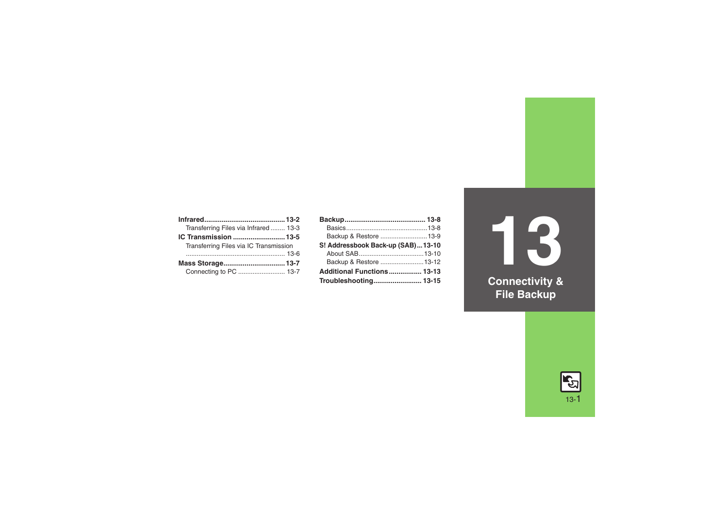| Transferring Files via Infrared 13-3   |  |
|----------------------------------------|--|
| IC Transmission  13-5                  |  |
| Transferring Files via IC Transmission |  |
|                                        |  |
|                                        |  |
| Connecting to PC  13-7                 |  |

| Backup & Restore  13-9            |  |
|-----------------------------------|--|
| S! Addressbook Back-up (SAB)13-10 |  |
|                                   |  |
| Backup & Restore  13-12           |  |
| Additional Functions 13-13        |  |
| Troubleshooting 13-15             |  |

**13 Connectivity & File Backup**

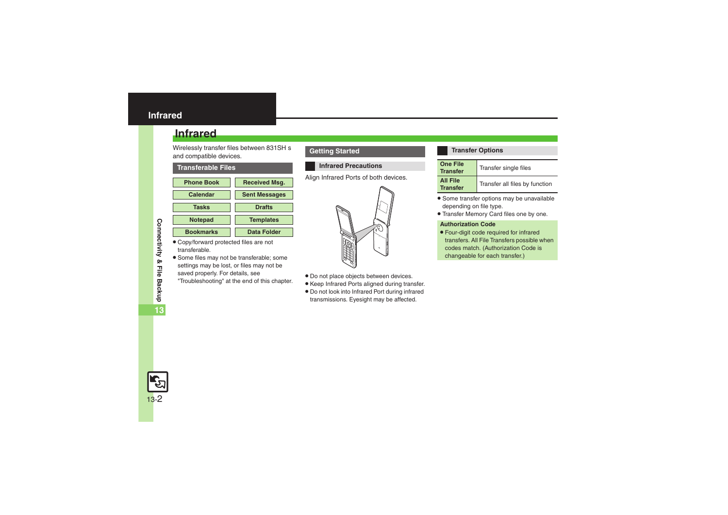## <span id="page-1-0"></span>**Infrared**

Wirelessly transfer files between 831SH <sup>s</sup> and compatible devices.

### <span id="page-1-1"></span>**Transferable Files**



- . Copy/forward protected files are not transferable.
- . Some files may not be transferable; some settings may be lost, or files may not be saved properly. For details, see "Troubleshooting" at the end of this chapter.

## **Getting Started**

## **Infrared Precautions**

Align Infrared Ports of both devices.



- . Do not place objects between devices.
- . Keep Infrared Ports aligned during transfer.
- . Do not look into Infrared Port during infrared transmissions. Eyesight may be affected.

#### **Transfer Options**

| <b>One File</b><br><b>Transfer</b> | Transfer single files          |
|------------------------------------|--------------------------------|
| <b>All File</b><br><b>Transfer</b> | Transfer all files by function |

- . Some transfer options may be unavailable depending on file type.
- . Transfer Memory Card files one by one.

#### **Authorization Code**

. Four-digit code required for infrared transfers. All File Transfers possible when codes match. (Authorization Code is changeable for each transfer.)

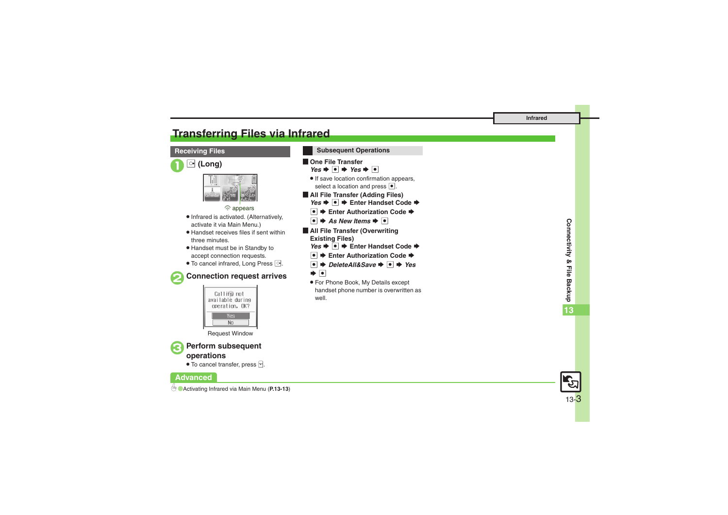# <span id="page-2-0"></span>**Transferring Files via Infrared**

## **Receiving Files**





% appears

- . Infrared is activated. (Alternatively, activate it via Main Menu.)
- . Handset receives files if sent within three minutes.
- . Handset must be in Standby to accept connection requests.
- To cancel infrared, Long Press <sup>o.</sup>



## 2**Connection request arrives**



Request Window

# <sup>3</sup>**Perform subsequent operations**

 $\bullet$  To cancel transfer, press  $\boxed{\mathbb{F}}$ .

## **Advanced**



| <b>Subsequent Operations</b>                                                                                          |
|-----------------------------------------------------------------------------------------------------------------------|
| l One File Transfer                                                                                                   |
| $Yes + \Box + Yes + \Box$                                                                                             |
| • If save location confirmation appears,                                                                              |
| select a location and press $\bullet$ .                                                                               |
| All File Transfer (Adding Files)                                                                                      |
| Yes $\bigtriangledown$ $\bigtriangledown$ $\bigtriangledown$ $\bigtriangledown$ Enter Handset Code $\bigtriangledown$ |
| $\bullet$ $\bullet$ Enter Authorization Code $\bullet$                                                                |
| $ \bullet $ $\blacktriangleright$ As New Items $\blacktriangleright$ $ \bullet $                                      |
| All File Transfer (Overwriting                                                                                        |
| <b>Existing Files)</b>                                                                                                |
| Yes $\blacktriangleright \lceil \bullet \rceil$ $\blacktriangleright$ Enter Handset Code $\blacktriangleright$        |
| $ \bullet $ $\blacktriangleright$ Enter Authorization Code $\blacktriangleright$                                      |
| $ \bullet $ $\Rightarrow$ DeleteAll&Save $\Rightarrow$ $ \bullet $ $\Rightarrow$ Yes                                  |
| ➡  •                                                                                                                  |
| • For Phone Book, My Details except                                                                                   |
| handset phone number is overwritten as                                                                                |

well.



13-3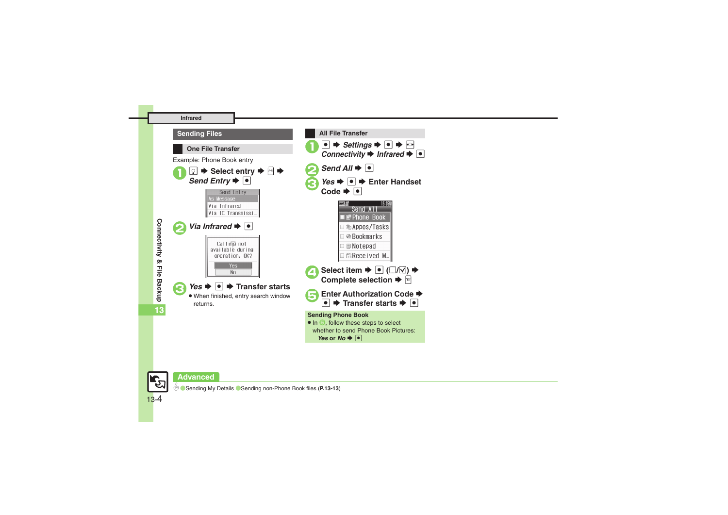



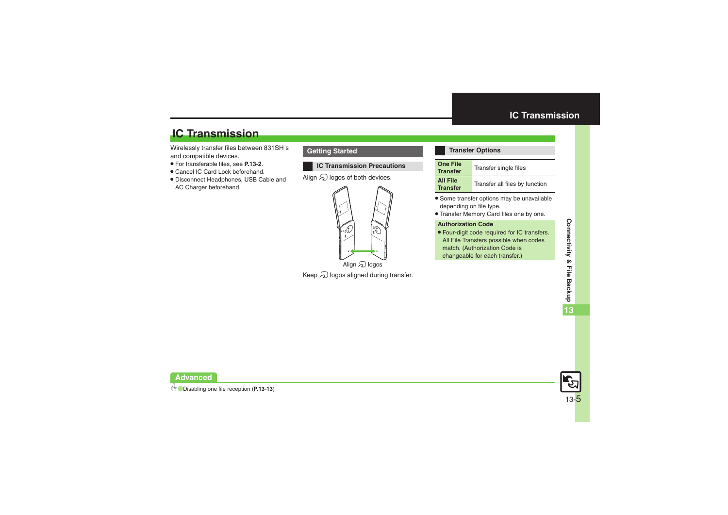# **IC Transmission**

Wirelessly transfer files between 831SH <sup>s</sup> and compatible devices.

- . For transferable files, see **[P.13-2](#page-1-1)**.
- . Cancel IC Card Lock beforehand.
- . Disconnect Headphones, USB Cable and AC Charger beforehand.

## **Getting Started**

## **IC Transmission Precautions**

Align  $\mathfrak A$  logos of both devices.



Keep  $\mathfrak A$  logos aligned during transfer.

### <span id="page-4-0"></span>**Transfer Options**

| <b>One File</b><br><b>Transfer</b> | Transfer single files          |
|------------------------------------|--------------------------------|
| <b>All File</b><br><b>Transfer</b> | Transfer all files by function |

- . Some transfer options may be unavailable depending on file type.
- . Transfer Memory Card files one by one.

#### **Authorization Code**

. Four-digit code required for IC transfers. All File Transfers possible when codes match. (Authorization Code is changeable for each transfer.)

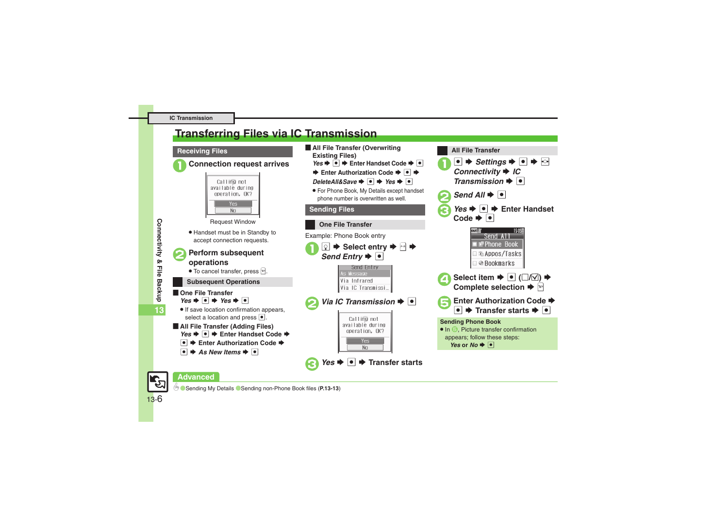# <span id="page-5-0"></span>**Transferring Files via IC Transmission**

#### **Receiving Files**



## 1**Connection request arrives**



- . Handset must be in Standby to accept connection requests.
- <sup>2</sup>**Perform subsequent operations**
	- $\bullet$  To cancel transfer, press  $\boxed{\triangleright}$ .

## **Subsequent Operations**

- **De File Transfer**  $Yes$   $\bullet$   $\bullet$  *Yes*  $\bullet$   $\bullet$
- . If save location confirmation appears, select a location and press  $\lceil \cdot \rceil$ .
- [ **All File Transfer (Adding Files)** *Yes*  $\rightarrow$  <sup>●</sup>  $\rightarrow$  Enter Handset Code  $\rightarrow$ 
	- $\blacktriangleright$  **Enter Authorization Code**  $\blacktriangleright$
	- $\bullet$   $\bullet$  As New Items  $\bullet$   $\bullet$
- **E** All File Transfer (Overwriting **Existing Files)** *Yes*  $\bullet$  **●**  $\bullet$  Enter Handset Code  $\bullet$  **●** 
	- **Enter Authorization Code → © →**
	- *DeleteAll&Save*  $\rightarrow$  <sup>o</sup>  $\rightarrow$  *Yes*  $\rightarrow$  **o**
	- . For Phone Book, My Details except handset phone number is overwritten as well.



<u>l●</u>  $\Rightarrow$  *Settings*  $\Rightarrow$   $\circ$   $\Rightarrow$   $\circ$ *C Connectivity*  $\Rightarrow$  *IC* 

15:05

*Transmission*  $\blacktriangleright$  **O**  $Send$  All<sup> $\bullet$ </sup>

**All File Transfer**

## **Advanced**

0([Sending My Details](#page-12-5) ([Sending non-Phone Book files](#page-12-6) (**[P.13-13](#page-12-4)**)

13-6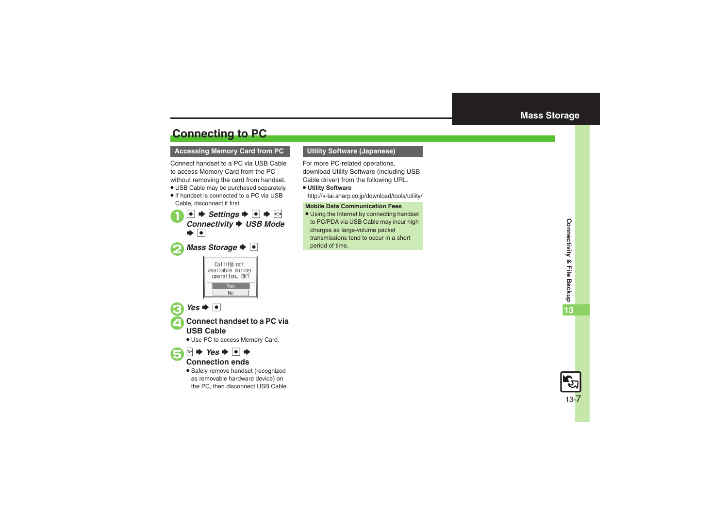# <span id="page-6-1"></span>**Connecting to PC**

### **Accessing Memory Card from PC Utility Software (Japanese)**

Connect handset to a PC via USB Cable to access Memory Card from the PC without removing the card from handset.

- . USB Cable may be purchased separately.
- . If handset is connected to a PC via USB Cable, disconnect it first.

 $\mathbf 0$  $\bullet$   $\bullet$  *Settings*  $\bullet$   $\bullet$   $\bullet$   $\circ$ **Connectivity → USB Mode**  $\bullet$   $\bullet$ 

# **2** Mass Storage  $\blacktriangleright$  **O**



 $\bullet$  Yes  $\bullet$   $\bullet$ 

 $\bm \Theta$ 

4**Connect handset to a PC via USB Cable**

. Use PC to access Memory Card.

## $\mathbb{P} \rightarrow \mathsf{Yes} \rightarrow \text{ } \blacksquare \rightarrow$ **Connection ends**

**•** Safely remove handset (recognized as removable hardware device) on the PC, then disconnect USB Cable.

<span id="page-6-0"></span>For more PC-related operations, download Utility Software (including USB Cable driver) from the following URL.

. **Utility Software** http://k-tai.sharp.co.jp/download/tools/utility/

#### **Mobile Data Communication Fees**

. Using the Internet by connecting handset to PC/PDA via USB Cable may incur high charges as large-volume packet transmissions tend to occur in a short period of time.

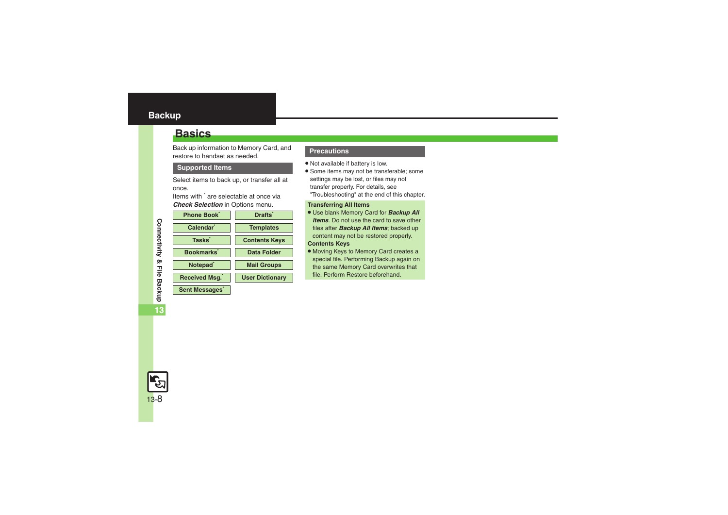## <span id="page-7-0"></span>**Backup**

## <span id="page-7-1"></span>**Basics**

Back up information to Memory Card, and restore to handset as needed.

#### **Supported Items**

Select items to back up, or transfer all at once.

Items with \* are selectable at once via *Check Selection* in Options menu.

| Phone Book            | <b>Drafts</b>          |
|-----------------------|------------------------|
| Calendar <sup>'</sup> | <b>Templates</b>       |
| <b>Tasks</b>          | <b>Contents Keys</b>   |
| <b>Bookmarks</b>      | <b>Data Folder</b>     |
| Notepad <sup>®</sup>  | <b>Mail Groups</b>     |
| <b>Received Msg.</b>  | <b>User Dictionary</b> |
| <b>Sent Messages</b>  |                        |

#### **Precautions**

- . Not available if battery is low.
- . Some items may not be transferable; some settings may be lost, or files may not transfer properly. For details, see "Troubleshooting" at the end of this chapter.

#### **Transferring All Items**

- . Use blank Memory Card for *Backup All Items*. Do not use the card to save other files after *Backup All Items*; backed up content may not be restored properly.
- **Contents Keys**
- . Moving Keys to Memory Card creates a special file. Performing Backup again on the same Memory Card overwrites that file. Perform Restore beforehand.

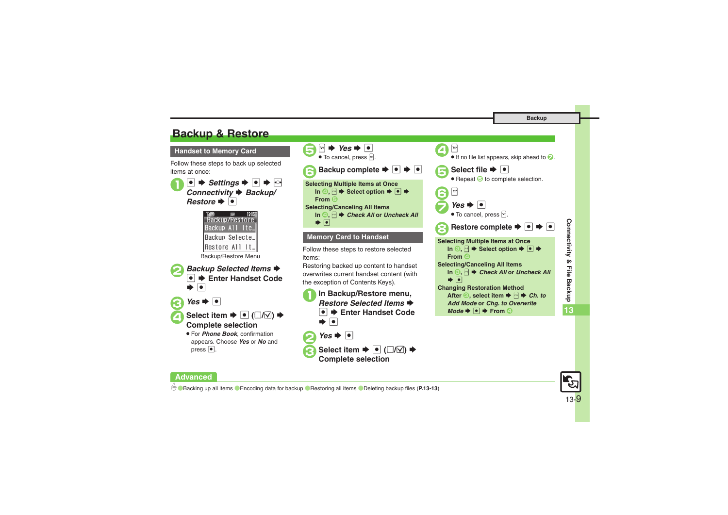# <span id="page-8-0"></span>**Backup & Restore**

**Handset to Memory Card**

Follow these steps to back up selected items at once:





## **Advanced**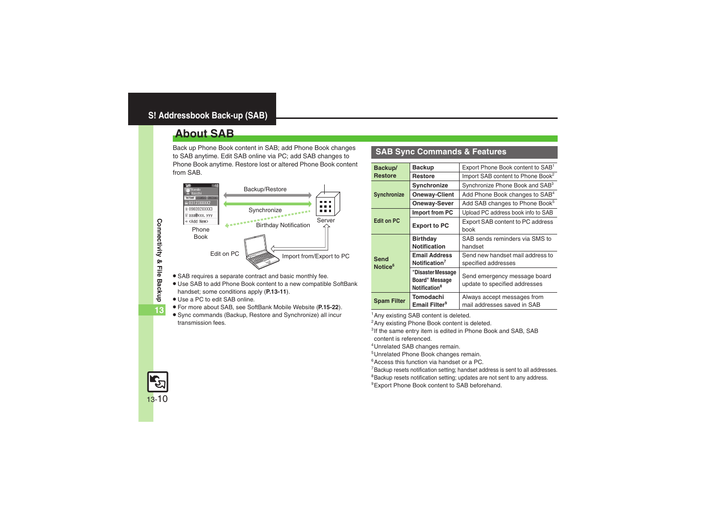# <span id="page-9-1"></span><span id="page-9-0"></span>**About SAB**

Back up Phone Book content in SAB; add Phone Book changes to SAB anytime. Edit SAB online via PC; add SAB changes to Phone Book anytime. Restore lost or altered Phone Book content from SAB.



- . SAB requires a separate contract and basic monthly fee.
- . Use SAB to add Phone Book content to a new compatible SoftBank handset; some conditions apply (**[P.13-11](#page-10-0)**).
- . Use a PC to edit SAB online.
- . For more about SAB, see SoftBank Mobile Website (**P.15-22**).
- . Sync commands (Backup, Restore and Synchronize) all incur transmission fees.

## **SAB Sync Commands & Features**

| Backup/                                                                          | <b>Backup</b>                                                    | Export Phone Book content to SAB <sup>1</sup>                 |
|----------------------------------------------------------------------------------|------------------------------------------------------------------|---------------------------------------------------------------|
| <b>Restore</b>                                                                   | <b>Restore</b>                                                   | Import SAB content to Phone Book <sup>2</sup>                 |
|                                                                                  | Synchronize                                                      | Synchronize Phone Book and SAB <sup>3</sup>                   |
| <b>Synchronize</b>                                                               | <b>Oneway-Client</b>                                             | Add Phone Book changes to SAB <sup>4</sup>                    |
|                                                                                  | Oneway-Sever                                                     | Add SAB changes to Phone Book <sup>5</sup>                    |
|                                                                                  | Import from PC                                                   | Upload PC address book info to SAB                            |
| <b>Edit on PC</b><br><b>Export to PC</b>                                         |                                                                  | Export SAB content to PC address<br>book                      |
|                                                                                  | <b>Birthday</b><br><b>Notification</b>                           | SAB sends reminders via SMS to<br>handset                     |
| <b>Email Address</b><br>Send<br>Notification <sup>7</sup><br>Notice <sup>6</sup> |                                                                  | Send new handset mail address to<br>specified addresses       |
|                                                                                  | "Disaster Message<br>Board" Message<br>Notification <sup>8</sup> | Send emergency message board<br>update to specified addresses |
| <b>Spam Filter</b>                                                               | Tomodachi<br>Email Filter <sup>9</sup>                           | Always accept messages from<br>mail addresses saved in SAB    |

<sup>1</sup>Any existing SAB content is deleted.

<sup>2</sup> Any existing Phone Book content is deleted.

<sup>3</sup>If the same entry item is edited in Phone Book and SAB, SAB content is referenced.

4Unrelated SAB changes remain.

5Unrelated Phone Book changes remain.

6Access this function via handset or a PC.

7Backup resets notification setting; handset address is sent to all addresses.

<sup>8</sup>Backup resets notification setting; updates are not sent to any address.

<sup>9</sup> Export Phone Book content to SAB beforehand.

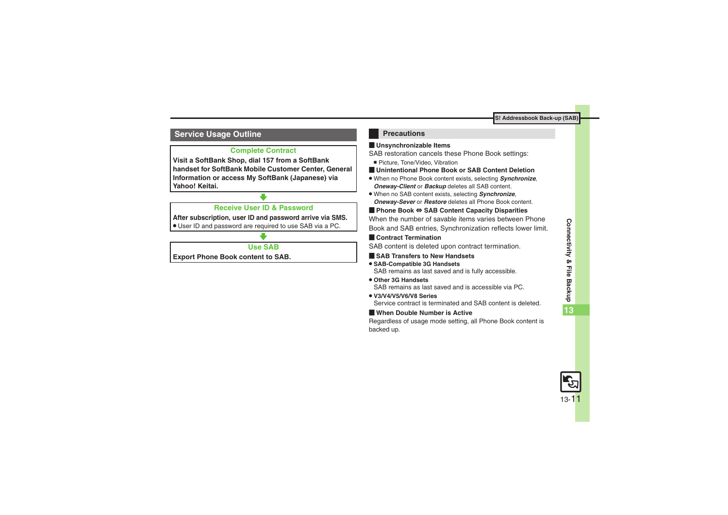## <span id="page-10-0"></span>**Service Usage Outline**

## **Complete Contract**

**Visit a SoftBank Shop, dial 157 from a SoftBank handset for SoftBank Mobile Customer Center, General Information or access My SoftBank (Japanese) via Yahoo! Keitai.**

## **Receive User ID & Password**

**After subscription, user ID and password arrive via SMS.**

. User ID and password are required to use SAB via a PC.

## **Use SAB**

**Export Phone Book content to SAB.**

## **Precautions**

## [ **Unsynchronizable Items**

SAB restoration cancels these Phone Book settings:

- Picture, Tone/Video, Vibration
- [ **Unintentional Phone Book or SAB Content Deletion**
- . When no Phone Book content exists, selecting *Synchronize*, *Oneway-Client* or *Backup* deletes all SAB content.
- . When no SAB content exists, selecting *Synchronize*, *Oneway-Sever* or *Restore* deletes all Phone Book content.

## [ **Phone Book**  <sup>⇔</sup> **SAB Content Capacity Disparities**

When the number of savable items varies between Phone Book and SAB entries, Synchronization reflects lower limit.

## **Exercicle Contract Termination**

SAB content is deleted upon contract termination.

- $\blacksquare$  **SAB Transfers to New Handsets**
- . **SAB-Compatible 3G Handsets** SAB remains as last saved and is fully accessible.
- . **Other 3G Handsets**SAB remains as last saved and is accessible via PC.
- . **V3/V4/V5/V6/V8 Series**Service contract is terminated and SAB content is deleted.

## [ **When Double Number is Active**

Regardless of usage mode setting, all Phone Book content is backed up.

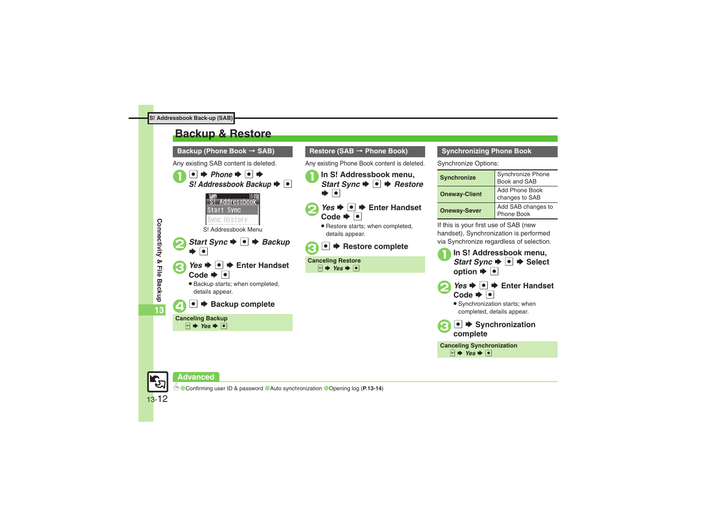# <span id="page-11-0"></span>**Backup & Restore**



## **Restore (SAB** > **Phone Book)**

Any existing Phone Book content is deleted.

- In S! Addressbook menu,<br>*Start Sync* → **●** *→ Restore*  $\blacktriangleright$   $\lceil \bullet \rceil$
- *Yes*  $\rightarrow$  | $\bullet$ |  $\rightarrow$  Enter Handset Code  $\rightarrow$   $\boxed{\bullet}$ 
	- . Restore starts; when completed, details appear.

# ●  $\rightarrow$  **Restore complete**

**Canceling Restore**  $\mathbb{R} \rightarrow \mathsf{Yes} \rightarrow \overline{\bullet}$ 

### **Synchronizing Phone Book**

Synchronize Options:

| <b>Synchronize</b>   | Synchronize Phone<br>Book and SAB |
|----------------------|-----------------------------------|
| <b>Oneway-Client</b> | Add Phone Book<br>changes to SAB  |
| <b>Oneway-Sever</b>  | Add SAB changes to<br>Phone Book  |

If this is your first use of SAB (new handset), Synchronization is performed via Synchronize regardless of selection.



**Advanced**

13-12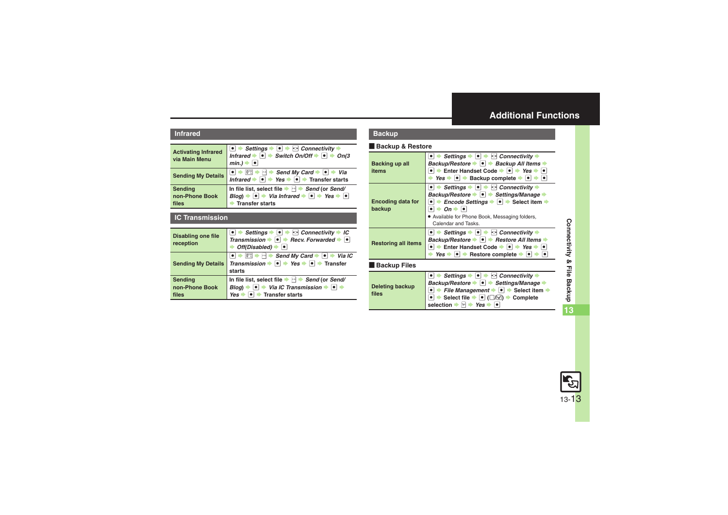## <span id="page-12-0"></span>**Additional Functions**

#### **Infrared**

<span id="page-12-2"></span><span id="page-12-1"></span>

| <b>Activating Infrared</b><br>via Main Menu | $\bullet$ $\Rightarrow$ Settings $\bullet$ $\bullet$ $\bullet$ $\bullet$ Connectivity $\bullet$<br>Infrared $\bullet \bullet$ Switch On/Off $\bullet \bullet$ $\bullet$ On(3<br>$min.$ ) $\Rightarrow$                                                   |
|---------------------------------------------|----------------------------------------------------------------------------------------------------------------------------------------------------------------------------------------------------------------------------------------------------------|
| <b>Sending My Details</b>                   | <b>e</b> $\Rightarrow$ <sup>[17</sup> ] $\Rightarrow$ $\Rightarrow$ <b>Send My Card</b> $\Rightarrow$ <b>e</b> $\Rightarrow$ <i>Via</i><br>Infrared $\Rightarrow$ <b>e</b> $\Rightarrow$ <i>Yes</i> $\Rightarrow$ <b>e</b> $\Rightarrow$ Transfer starts |
| Sending<br>non-Phone Book<br>files          | In file list, select file $\Rightarrow$ $\Rightarrow$ Send (or Send/<br>Blog) $\Rightarrow$ $\bullet \Rightarrow$ Via Infrared $\Rightarrow$ $\bullet \Rightarrow$ Yes $\Rightarrow$ $\bullet$<br><b>Transfer starts</b>                                 |

#### <span id="page-12-3"></span>**IC Transmission**

<span id="page-12-6"></span><span id="page-12-5"></span><span id="page-12-4"></span>

| <b>Disabling one file</b><br>reception | $\rightarrow$ Settings $\rightarrow \rightarrow \rightarrow$ Connectivity $\rightarrow$ IC<br>Transmission $\rightarrow \bullet$ Recv. Forwarded $\rightarrow \bullet$<br>Off(Disabled)             |
|----------------------------------------|-----------------------------------------------------------------------------------------------------------------------------------------------------------------------------------------------------|
| <b>Sending My Details</b>              | $\rightarrow \Box$ Send My Card $\rightarrow \Box$ Via IC<br>0 <sup>5</sup><br>Transmission $\rightarrow \bullet$ $\rightarrow$ Yes $\rightarrow \bullet$ Transfer<br>starts                        |
| Sending<br>non-Phone Book<br>files     | In file list, select file $\blacktriangleright$ $\blacktriangleright$ Send (or Send/<br>Via IC Transmission $\rightarrow$ $\bullet$ $\rightarrow$<br><b>Bloa</b> )<br><b>Transfer starts</b><br>Yes |

### **Backup**

#### [ **Backup & Restore**

<span id="page-12-8"></span><span id="page-12-7"></span>

| Backing up all<br>items            | Settings $\ \cdot\ $ $\ \cdot\ $ Connectivity $\ \cdot\ $<br>Backup/Restore $\rightarrow \rightarrow$ Backup All Items $\rightarrow$<br>$\bullet$ $\bullet$ Enter Handset Code $\bullet$ $\bullet$ $\bullet$ Yes $\bullet$ $\bullet$<br>Yes $\rightarrow$ $\bullet$ $\rightarrow$ Backup complete $\rightarrow$ $\rightarrow$ $\rightarrow$                                                                        |
|------------------------------------|--------------------------------------------------------------------------------------------------------------------------------------------------------------------------------------------------------------------------------------------------------------------------------------------------------------------------------------------------------------------------------------------------------------------|
| <b>Encoding data for</b><br>backup | Settings $\rightarrow \rightarrow \rightarrow \rightarrow$ Connectivity $\rightarrow$<br>Backup/Restore → • + Settings/Manage →<br>• $\rightarrow$ <i>Encode Settings</i> $\rightarrow$ • Select item $\rightarrow$<br>$\rightarrow$ On $\rightarrow$ $\boxed{\bullet}$<br>• Available for Phone Book, Messaging folders,<br>Calendar and Tasks.                                                                   |
| <b>Restoring all items</b>         | $\bullet$ $\bullet$ Settings $\bullet$ $\bullet$ $\bullet$ $\bullet$ Connectivity $\bullet$<br>Backup/Restore → ● → Restore All Items →<br>$\bullet$ $\bullet$ Enter Handset Code $\bullet$ $\bullet$ $\bullet$ Yes $\bullet$ $\bullet$<br>Yes $\bullet$ $\bullet$ Restore complete $\bullet$ $\bullet$                                                                                                            |
| <b>Backup Files</b>                |                                                                                                                                                                                                                                                                                                                                                                                                                    |
| Deleting backup<br>files           | Settings $\blacktriangleright$ $\blacktriangleright$ $\blacktriangleright$ $\blacktriangleright$ Connectivity $\blacktriangleright$<br>Backup/Restore → • + Settings/Manage →<br>File Management $\blacktriangleright$ $\lvert \bullet \rvert$ $\blacktriangleright$ Select item $\blacktriangleright$<br>Select file $\blacktriangleright$ $\lbrack\bullet\rbrack$ ( $\Box/\Box$ ) $\blacktriangleright$ Complete |

<span id="page-12-10"></span><span id="page-12-9"></span> $\mathsf{s}$ election  $\blacktriangleright$   $\mathbb{S}$   $\blacktriangleright$  *Yes*  $\blacktriangleright$   $\blacksquare$ 

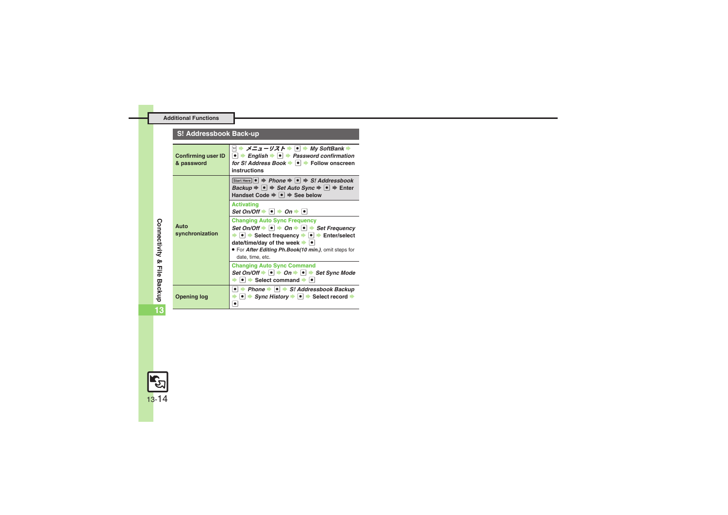#### **Additional Functions**

## **S! Addressbook Back-up**

<span id="page-13-1"></span><span id="page-13-0"></span>

| <b>Confirming user ID</b><br>& password | ⊠ ⇒ メニューリスト ⇒ ● ⇒ My SoftBank ⇒<br>$\bullet$ $\Rightarrow$ English $\bullet$ $\bullet$ $\Rightarrow$ Password confirmation<br>for S! Address Book → ● → Follow onscreen<br>instructions                                                                                                                                                                      |
|-----------------------------------------|--------------------------------------------------------------------------------------------------------------------------------------------------------------------------------------------------------------------------------------------------------------------------------------------------------------------------------------------------------------|
| Auto<br>synchronization                 | Start Here $\left  \bullet \right  \Rightarrow$ Phone $\Rightarrow$ $\left  \bullet \right  \Rightarrow$ S! Addressbook<br>Backup $\Rightarrow$ $\bullet$ $\Rightarrow$ Set Auto Sync $\Rightarrow$ $\bullet$ $\Rightarrow$ Enter<br>Handset Code → • → See below                                                                                            |
|                                         | <b>Activating</b><br>Set On/Off $\rightarrow$ 0 $\rightarrow$ On $\rightarrow$ 0                                                                                                                                                                                                                                                                             |
|                                         | <b>Changing Auto Sync Frequency</b><br>Set On/Off $\Rightarrow$ 0 $\Rightarrow$ On $\Rightarrow$ 0 $\Rightarrow$ Set Frequency<br>$\bullet$ $\bullet$ Select frequency $\bullet$ $\bullet$ Enter/select<br>date/time/day of the week $\blacktriangleright$ $\blacktriangleright$<br>. For After Editing Ph.Book(10 min.), omit steps for<br>date, time, etc. |
|                                         | <b>Changing Auto Sync Command</b><br>Set On/Off $\rightarrow \circ \circ$ $\rightarrow$ On $\rightarrow \circ \circ$ Set Sync Mode<br>$\bullet$ $\bullet$ Select command $\bullet$ $\bullet$                                                                                                                                                                 |
| <b>Opening log</b>                      | $\bullet$ $\bullet$ Phone $\bullet$ $\bullet$ $\bullet$ S! Addressbook Backup<br>$\bullet$ $\Rightarrow$ Sync History $\bullet$ $\bullet$ $\bullet$ Select record $\bullet$                                                                                                                                                                                  |

<span id="page-13-2"></span>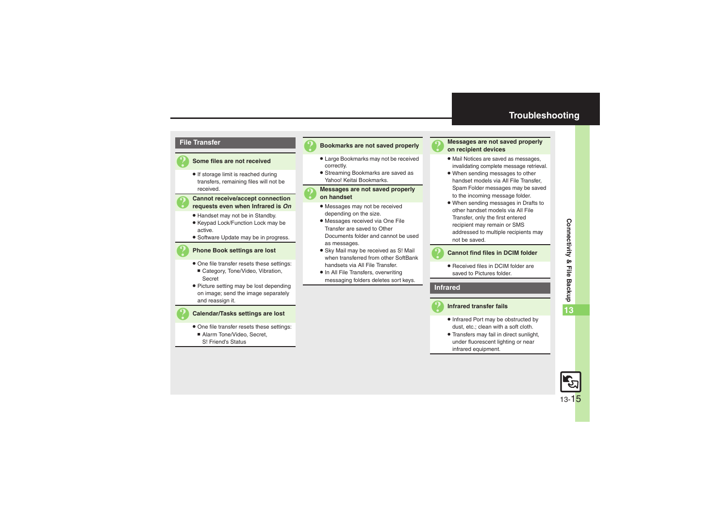## **Troubleshooting**



#### 3 **Some files are not received**

**•** If storage limit is reached during transfers, remaining files will not be received.

# 3 **Cannot receive/accept connection requests even when Infrared is** *On*

- . Handset may not be in Standby.
- Keypad Lock/Function Lock may be active.
- . Software Update may be in progress.

#### 3 **Phone Book settings are lost**

- . One file transfer resets these settings:
- Category, Tone/Video, Vibration, Secret
- Picture setting may be lost depending on image; send the image separately and reassign it.

#### 3 **Calendar/Tasks settings are lost**

- . One file transfer resets these settings:
	- Alarm Tone/Video, Secret, S! Friend's Status

#### 3 **Bookmarks are not saved properly**

- . Large Bookmarks may not be received correctly.
- . Streaming Bookmarks are saved as Yahoo! Keitai Bookmarks.

# 3 **Messages are not saved properly on handset**

- . Messages may not be received depending on the size.
- . Messages received via One File Transfer are saved to Other Documents folder and cannot be used as messages.
- **.** Sky Mail may be received as S! Mail when transferred from other SoftBank handsets via All File Transfer.
- In All File Transfers, overwriting messaging folders deletes sort keys.



# <span id="page-14-0"></span>3 **Messages are not saved properly on recipient devices**

- . Mail Notices are saved as messages, invalidating complete message retrieval.
- . When sending messages to other handset models via All File Transfer, Spam Folder messages may be saved to the incoming message folder.
- . When sending messages in Drafts to other handset models via All File Transfer, only the first entered recipient may remain or SMS addressed to multiple recipients may not be saved.

#### 3 **Cannot find files in DCIM folder**

• Received files in DCIM folder are saved to Pictures folder.

**Infrared**



#### 3 **Infrared transfer fails**

- Infrared Port may be obstructed by dust, etc.; clean with a soft cloth.
- . Transfers may fail in direct sunlight, under fluorescent lighting or near infrared equipment.